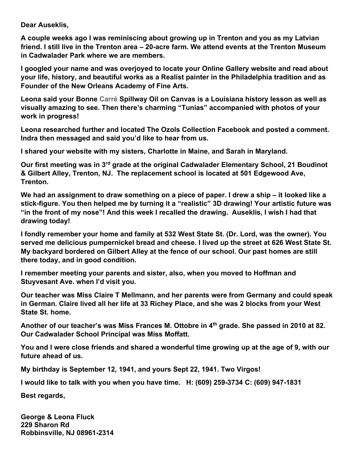**Dear Auseklis,**

**A couple weeks ago I was reminiscing about growing up in Trenton and you as my Latvian friend. I still live in the Trenton area – 20-acre farm. We attend events at the Trenton Museum in Cadwalader Park where we are members.**

**I googled your name and was overjoyed to locate your Online Gallery website and read about your life, history, and beautiful works as a Realist painter in the Philadelphia tradition and as Founder of the New Orleans Academy of Fine Arts.**

**Leona said your Bonne Carré Spillway Oil on Canvas is a Louisiana history lesson as well as visually amazing to see. Then there's charming "Tunias" accompanied with photos of your work in progress!** 

**Leona researched further and located The Ozols Collection Facebook and posted a comment. Indra then messaged and said you'd like to hear from us.** 

**I shared your website with my sisters, Charlotte in Maine, and Sarah in Maryland.** 

**Our first meeting was in 3rd grade at the original Cadwalader Elementary School, 21 Boudinot & Gilbert Alley, Trenton, NJ. The replacement school is located at 501 Edgewood Ave, Trenton.** 

**We had an assignment to draw something on a piece of paper. I drew a ship – it looked like a stick-figure. You then helped me by turning it a "realistic" 3D drawing! Your artistic future was "in the front of my nose"! And this week I recalled the drawing. Auseklis, I wish I had that drawing today!** 

**I fondly remember your home and family at 532 West State St. (Dr. Lord, was the owner). You served me delicious pumpernickel bread and cheese. I lived up the street at 626 West State St. My backyard bordered on Gilbert Alley at the fence of our school. Our past homes are still there today, and in good condition.** 

**I remember meeting your parents and sister, also, when you moved to Hoffman and Stuyvesant Ave. when I'd visit you.**

**Our teacher was Miss Claire T Mellmann, and her parents were from Germany and could speak in German. Claire lived all her life at 33 Richey Place, and she was 2 blocks from your West State St. home.**

**Another of our teacher's was Miss Frances M. Ottobre in 4th grade. She passed in 2010 at 82. Our Cadwalader School Principal was Miss Moffatt.** 

**You and I were close friends and shared a wonderful time growing up at the age of 9, with our future ahead of us.**

**My birthday is September 12, 1941, and yours Sept 22, 1941. Two Virgos!**

**I would like to talk with you when you have time. H: (609) 259-3734 C: (609) 947-1831**

**Best regards,**

**George & Leona Fluck 229 Sharon Rd Robbinsville, NJ 08961-2314**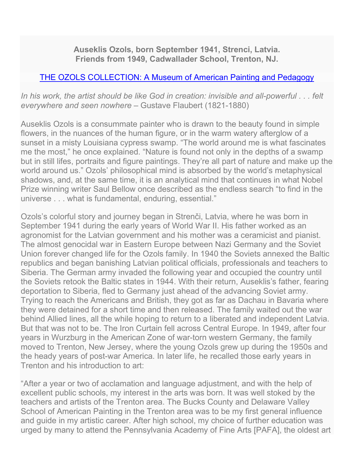**Auseklis Ozols, born September 1941, Strenci, Latvia. Friends from 1949, Cadwallader School, Trenton, NJ.** 

## THE OZOLS [COLLECTION: A Museum](https://ozolscollection.org/) of American Painting and Pedagogy

*In his work, the artist should be like God in creation: invisible and all-powerful . . . felt everywhere and seen nowhere* – Gustave Flaubert (1821-1880)

Auseklis Ozols is a consummate painter who is drawn to the beauty found in simple flowers, in the nuances of the human figure, or in the warm watery afterglow of a sunset in a misty Louisiana cypress swamp. "The world around me is what fascinates me the most," he once explained. "Nature is found not only in the depths of a swamp but in still lifes, portraits and figure paintings. They're all part of nature and make up the world around us." Ozols' philosophical mind is absorbed by the world's metaphysical shadows, and, at the same time, it is an analytical mind that continues in what Nobel Prize winning writer Saul Bellow once described as the endless search "to find in the universe . . . what is fundamental, enduring, essential."

Ozols's colorful story and journey began in Strenči, Latvia, where he was born in September 1941 during the early years of World War II. His father worked as an agronomist for the Latvian government and his mother was a ceramicist and pianist. The almost genocidal war in Eastern Europe between Nazi Germany and the Soviet Union forever changed life for the Ozols family. In 1940 the Soviets annexed the Baltic republics and began banishing Latvian political officials, professionals and teachers to Siberia. The German army invaded the following year and occupied the country until the Soviets retook the Baltic states in 1944. With their return, Auseklis's father, fearing deportation to Siberia, fled to Germany just ahead of the advancing Soviet army. Trying to reach the Americans and British, they got as far as Dachau in Bavaria where they were detained for a short time and then released. The family waited out the war behind Allied lines, all the while hoping to return to a liberated and independent Latvia. But that was not to be. The Iron Curtain fell across Central Europe. In 1949, after four years in Wurzburg in the American Zone of war-torn western Germany, the family moved to Trenton, New Jersey, where the young Ozols grew up during the 1950s and the heady years of post-war America. In later life, he recalled those early years in Trenton and his introduction to art:

"After a year or two of acclamation and language adjustment, and with the help of excellent public schools, my interest in the arts was born. It was well stoked by the teachers and artists of the Trenton area. The Bucks County and Delaware Valley School of American Painting in the Trenton area was to be my first general influence and guide in my artistic career. After high school, my choice of further education was urged by many to attend the Pennsylvania Academy of Fine Arts [PAFA], the oldest art